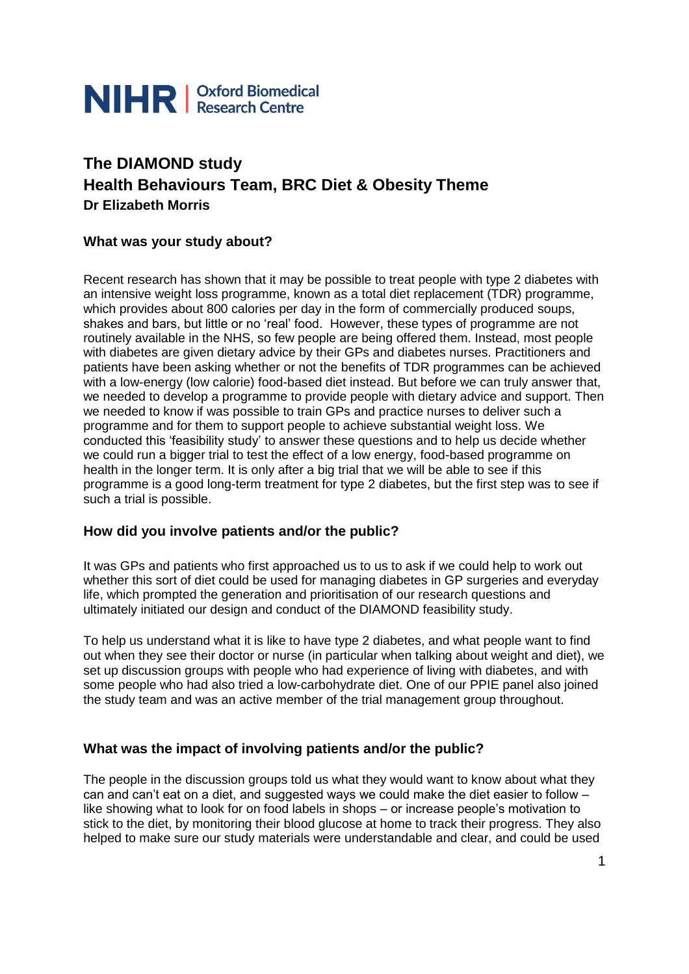

# **The DIAMOND study Health Behaviours Team, BRC Diet & Obesity Theme Dr Elizabeth Morris**

## **What was your study about?**

Recent research has shown that it may be possible to treat people with type 2 diabetes with an intensive weight loss programme, known as a total diet replacement (TDR) programme, which provides about 800 calories per day in the form of commercially produced soups, shakes and bars, but little or no 'real' food. However, these types of programme are not routinely available in the NHS, so few people are being offered them. Instead, most people with diabetes are given dietary advice by their GPs and diabetes nurses. Practitioners and patients have been asking whether or not the benefits of TDR programmes can be achieved with a low-energy (low calorie) food-based diet instead. But before we can truly answer that, we needed to develop a programme to provide people with dietary advice and support. Then we needed to know if was possible to train GPs and practice nurses to deliver such a programme and for them to support people to achieve substantial weight loss. We conducted this 'feasibility study' to answer these questions and to help us decide whether we could run a bigger trial to test the effect of a low energy, food-based programme on health in the longer term. It is only after a big trial that we will be able to see if this programme is a good long-term treatment for type 2 diabetes, but the first step was to see if such a trial is possible.

#### **How did you involve patients and/or the public?**

It was GPs and patients who first approached us to us to ask if we could help to work out whether this sort of diet could be used for managing diabetes in GP surgeries and everyday life, which prompted the generation and prioritisation of our research questions and ultimately initiated our design and conduct of the DIAMOND feasibility study.

To help us understand what it is like to have type 2 diabetes, and what people want to find out when they see their doctor or nurse (in particular when talking about weight and diet), we set up discussion groups with people who had experience of living with diabetes, and with some people who had also tried a low-carbohydrate diet. One of our PPIE panel also joined the study team and was an active member of the trial management group throughout.

# **What was the impact of involving patients and/or the public?**

The people in the discussion groups told us what they would want to know about what they can and can't eat on a diet, and suggested ways we could make the diet easier to follow – like showing what to look for on food labels in shops – or increase people's motivation to stick to the diet, by monitoring their blood glucose at home to track their progress. They also helped to make sure our study materials were understandable and clear, and could be used